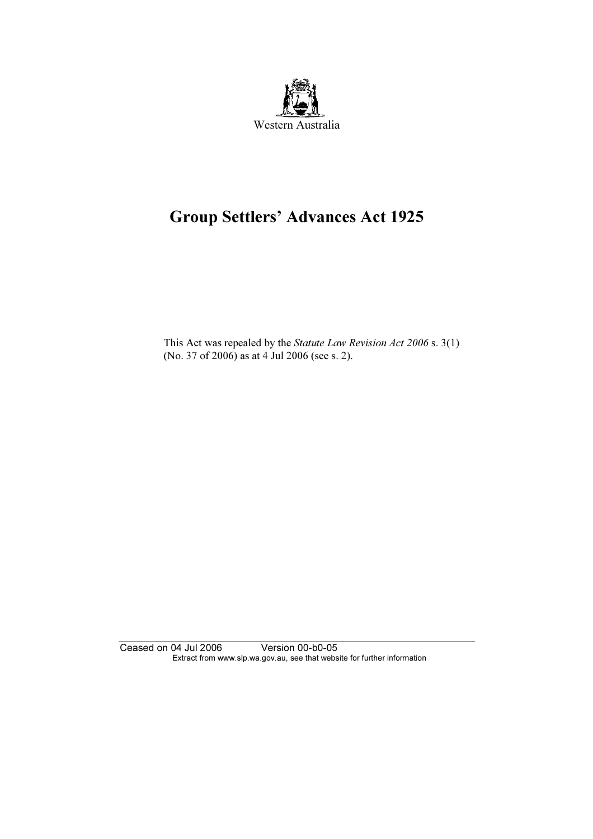

## Group Settlers' Advances Act 1925

 This Act was repealed by the Statute Law Revision Act 2006 s. 3(1) (No. 37 of 2006) as at 4 Jul 2006 (see s. 2).

Ceased on 04 Jul 2006 Version 00-b0-05 Extract from www.slp.wa.gov.au, see that website for further information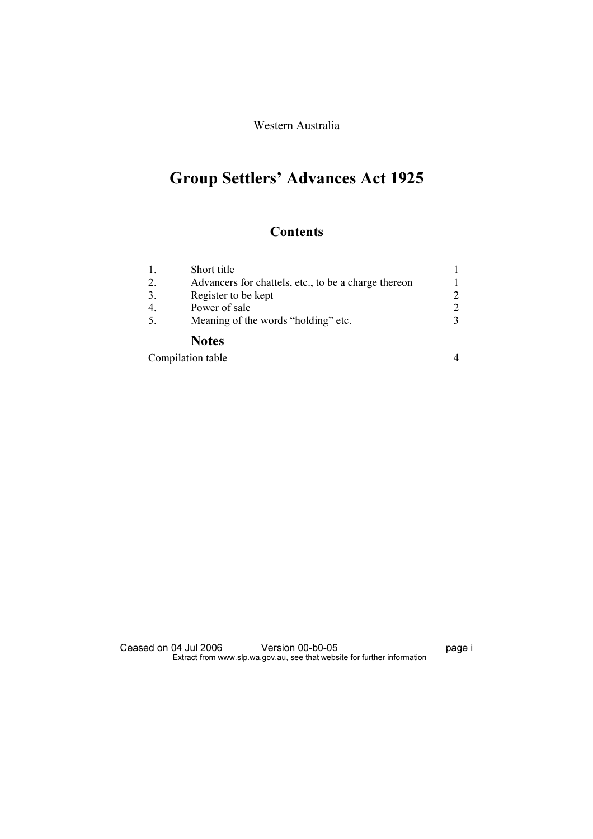Western Australia

# Group Settlers' Advances Act 1925

### **Contents**

|     | Short title                                          |               |
|-----|------------------------------------------------------|---------------|
| 2.  | Advancers for chattels, etc., to be a charge thereon |               |
| 3.  | Register to be kept                                  | 2             |
|     | Power of sale                                        | 2             |
| .5. | Meaning of the words "holding" etc.                  | $\mathcal{R}$ |
|     | <b>Notes</b>                                         |               |

| Compilation table |  |
|-------------------|--|
|-------------------|--|

| Ceased on 04 Jul 2006 |                                                                          | Version 00-b0-05 |  | page i |
|-----------------------|--------------------------------------------------------------------------|------------------|--|--------|
|                       | Extract from www.slp.wa.gov.au, see that website for further information |                  |  |        |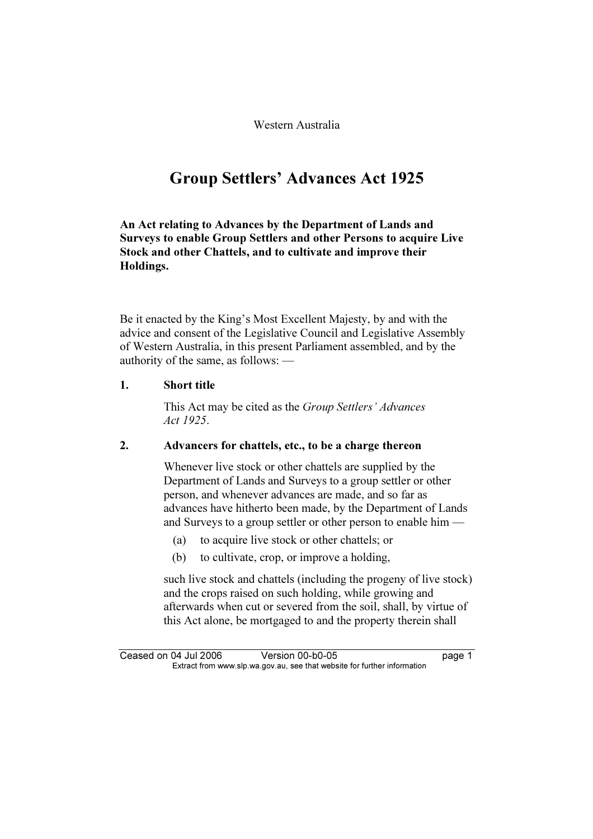Western Australia

## Group Settlers' Advances Act 1925

An Act relating to Advances by the Department of Lands and Surveys to enable Group Settlers and other Persons to acquire Live Stock and other Chattels, and to cultivate and improve their Holdings.

Be it enacted by the King's Most Excellent Majesty, by and with the advice and consent of the Legislative Council and Legislative Assembly of Western Australia, in this present Parliament assembled, and by the authority of the same, as follows: —

#### 1. Short title

 This Act may be cited as the Group Settlers' Advances Act 1925.

#### 2. Advancers for chattels, etc., to be a charge thereon

 Whenever live stock or other chattels are supplied by the Department of Lands and Surveys to a group settler or other person, and whenever advances are made, and so far as advances have hitherto been made, by the Department of Lands and Surveys to a group settler or other person to enable him —

- (a) to acquire live stock or other chattels; or
- (b) to cultivate, crop, or improve a holding,

 such live stock and chattels (including the progeny of live stock) and the crops raised on such holding, while growing and afterwards when cut or severed from the soil, shall, by virtue of this Act alone, be mortgaged to and the property therein shall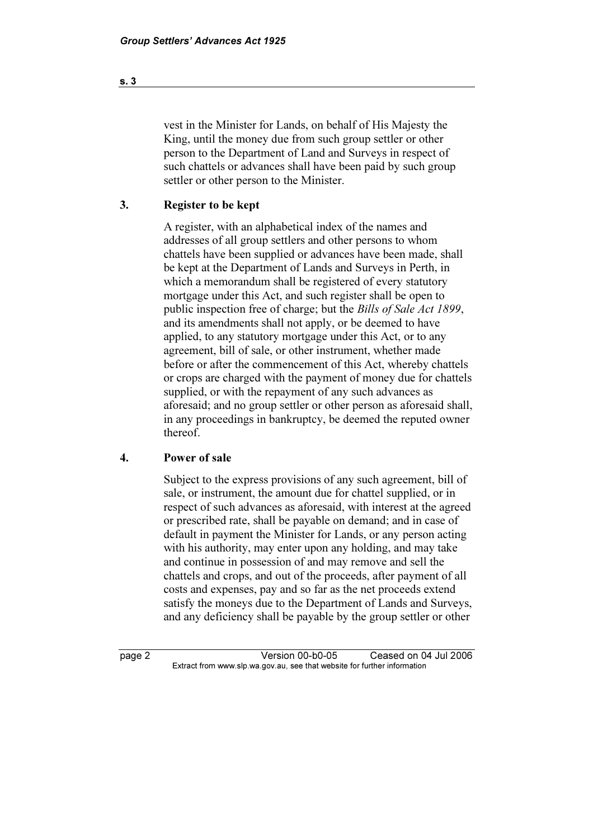vest in the Minister for Lands, on behalf of His Majesty the King, until the money due from such group settler or other person to the Department of Land and Surveys in respect of such chattels or advances shall have been paid by such group settler or other person to the Minister.

#### 3. Register to be kept

 A register, with an alphabetical index of the names and addresses of all group settlers and other persons to whom chattels have been supplied or advances have been made, shall be kept at the Department of Lands and Surveys in Perth, in which a memorandum shall be registered of every statutory mortgage under this Act, and such register shall be open to public inspection free of charge; but the Bills of Sale Act 1899, and its amendments shall not apply, or be deemed to have applied, to any statutory mortgage under this Act, or to any agreement, bill of sale, or other instrument, whether made before or after the commencement of this Act, whereby chattels or crops are charged with the payment of money due for chattels supplied, or with the repayment of any such advances as aforesaid; and no group settler or other person as aforesaid shall, in any proceedings in bankruptcy, be deemed the reputed owner thereof.

#### 4. Power of sale

 Subject to the express provisions of any such agreement, bill of sale, or instrument, the amount due for chattel supplied, or in respect of such advances as aforesaid, with interest at the agreed or prescribed rate, shall be payable on demand; and in case of default in payment the Minister for Lands, or any person acting with his authority, may enter upon any holding, and may take and continue in possession of and may remove and sell the chattels and crops, and out of the proceeds, after payment of all costs and expenses, pay and so far as the net proceeds extend satisfy the moneys due to the Department of Lands and Surveys, and any deficiency shall be payable by the group settler or other

page 2 Version 00-b0-05 Ceased on 04 Jul 2006<br>Extract from www.slp.wa.gov.au, see that website for further information  $\mathbf{F}$  from which was the set that we besite for further information  $\mathbf{F}$ 

s. 3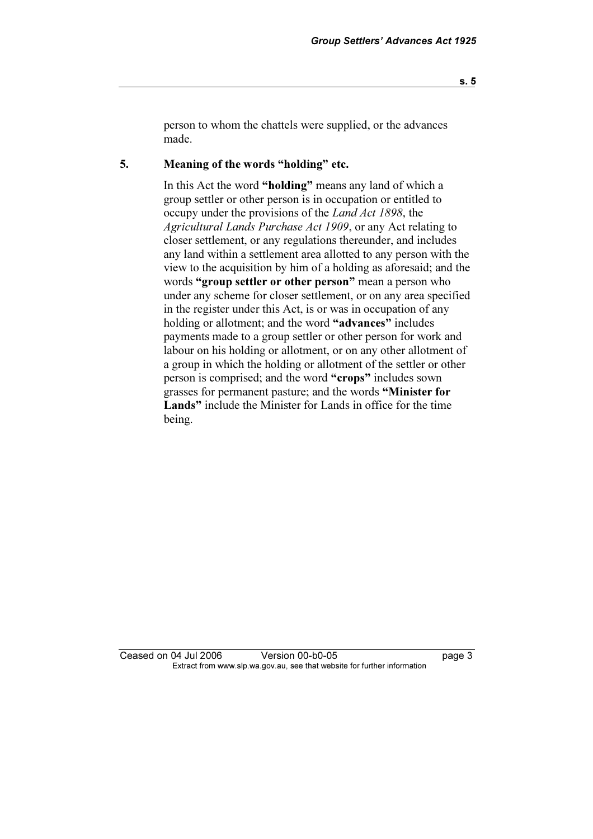person to whom the chattels were supplied, or the advances made.

#### 5. Meaning of the words "holding" etc.

 In this Act the word "holding" means any land of which a group settler or other person is in occupation or entitled to occupy under the provisions of the Land Act 1898, the Agricultural Lands Purchase Act 1909, or any Act relating to closer settlement, or any regulations thereunder, and includes any land within a settlement area allotted to any person with the view to the acquisition by him of a holding as aforesaid; and the words "group settler or other person" mean a person who under any scheme for closer settlement, or on any area specified in the register under this Act, is or was in occupation of any holding or allotment; and the word "advances" includes payments made to a group settler or other person for work and labour on his holding or allotment, or on any other allotment of a group in which the holding or allotment of the settler or other person is comprised; and the word "crops" includes sown grasses for permanent pasture; and the words "Minister for Lands" include the Minister for Lands in office for the time being.

Ceased on 04 Jul 2006 Version 00-b0-05 page 3<br>Extract from www.slp.wa.gov.au, see that website for further information  $\mathbf{F}$  from which was the set that we besite for further information  $\mathbf{F}$ 

s. 5